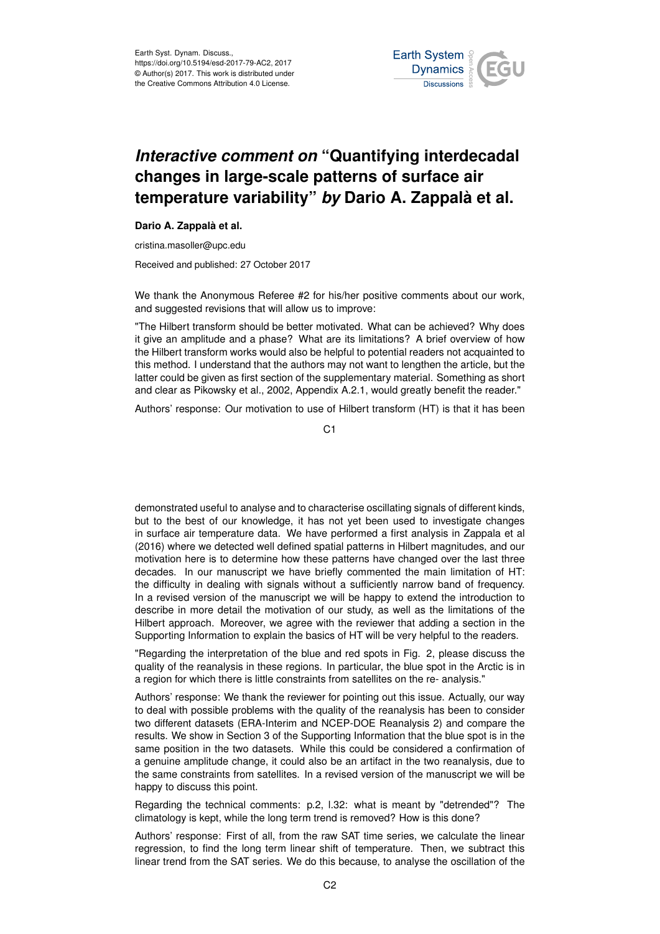

## *Interactive comment on* **"Quantifying interdecadal changes in large-scale patterns of surface air temperature variability"** *by* **Dario A. Zappalà et al.**

## **Dario A. Zappalà et al.**

cristina.masoller@upc.edu

Received and published: 27 October 2017

We thank the Anonymous Referee #2 for his/her positive comments about our work, and suggested revisions that will allow us to improve:

"The Hilbert transform should be better motivated. What can be achieved? Why does it give an amplitude and a phase? What are its limitations? A brief overview of how the Hilbert transform works would also be helpful to potential readers not acquainted to this method. I understand that the authors may not want to lengthen the article, but the latter could be given as first section of the supplementary material. Something as short and clear as Pikowsky et al., 2002, Appendix A.2.1, would greatly benefit the reader."

Authors' response: Our motivation to use of Hilbert transform (HT) is that it has been

C1

demonstrated useful to analyse and to characterise oscillating signals of different kinds, but to the best of our knowledge, it has not yet been used to investigate changes in surface air temperature data. We have performed a first analysis in Zappala et al (2016) where we detected well defined spatial patterns in Hilbert magnitudes, and our motivation here is to determine how these patterns have changed over the last three decades. In our manuscript we have briefly commented the main limitation of HT: the difficulty in dealing with signals without a sufficiently narrow band of frequency. In a revised version of the manuscript we will be happy to extend the introduction to describe in more detail the motivation of our study, as well as the limitations of the Hilbert approach. Moreover, we agree with the reviewer that adding a section in the Supporting Information to explain the basics of HT will be very helpful to the readers.

"Regarding the interpretation of the blue and red spots in Fig. 2, please discuss the quality of the reanalysis in these regions. In particular, the blue spot in the Arctic is in a region for which there is little constraints from satellites on the re- analysis."

Authors' response: We thank the reviewer for pointing out this issue. Actually, our way to deal with possible problems with the quality of the reanalysis has been to consider two different datasets (ERA-Interim and NCEP-DOE Reanalysis 2) and compare the results. We show in Section 3 of the Supporting Information that the blue spot is in the same position in the two datasets. While this could be considered a confirmation of a genuine amplitude change, it could also be an artifact in the two reanalysis, due to the same constraints from satellites. In a revised version of the manuscript we will be happy to discuss this point.

Regarding the technical comments: p.2, l.32: what is meant by "detrended"? The climatology is kept, while the long term trend is removed? How is this done?

Authors' response: First of all, from the raw SAT time series, we calculate the linear regression, to find the long term linear shift of temperature. Then, we subtract this linear trend from the SAT series. We do this because, to analyse the oscillation of the